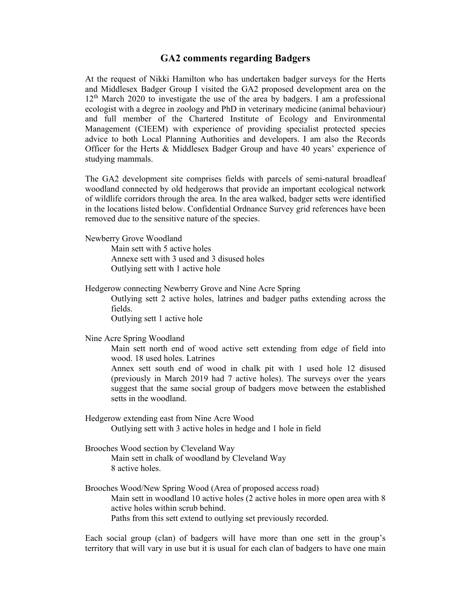## **GA2 comments regarding Badgers**

At the request of Nikki Hamilton who has undertaken badger surveys for the Herts and Middlesex Badger Group I visited the GA2 proposed development area on the 12th March 2020 to investigate the use of the area by badgers. I am a professional ecologist with a degree in zoology and PhD in veterinary medicine (animal behaviour) and full member of the Chartered Institute of Ecology and Environmental Management (CIEEM) with experience of providing specialist protected species advice to both Local Planning Authorities and developers. I am also the Records Officer for the Herts & Middlesex Badger Group and have 40 years' experience of studying mammals.

The GA2 development site comprises fields with parcels of semi-natural broadleaf woodland connected by old hedgerows that provide an important ecological network of wildlife corridors through the area. In the area walked, badger setts were identified in the locations listed below. Confidential Ordnance Survey grid references have been removed due to the sensitive nature of the species.

Newberry Grove Woodland

Main sett with 5 active holes Annexe sett with 3 used and 3 disused holes Outlying sett with 1 active hole

Hedgerow connecting Newberry Grove and Nine Acre Spring

Outlying sett 2 active holes, latrines and badger paths extending across the fields.

Outlying sett 1 active hole

Nine Acre Spring Woodland

Main sett north end of wood active sett extending from edge of field into wood. 18 used holes. Latrines

Annex sett south end of wood in chalk pit with 1 used hole 12 disused (previously in March 2019 had 7 active holes). The surveys over the years suggest that the same social group of badgers move between the established setts in the woodland.

Hedgerow extending east from Nine Acre Wood Outlying sett with 3 active holes in hedge and 1 hole in field

Brooches Wood section by Cleveland Way Main sett in chalk of woodland by Cleveland Way 8 active holes.

Brooches Wood/New Spring Wood (Area of proposed access road) Main sett in woodland 10 active holes (2 active holes in more open area with 8 active holes within scrub behind. Paths from this sett extend to outlying set previously recorded.

Each social group (clan) of badgers will have more than one sett in the group's territory that will vary in use but it is usual for each clan of badgers to have one main